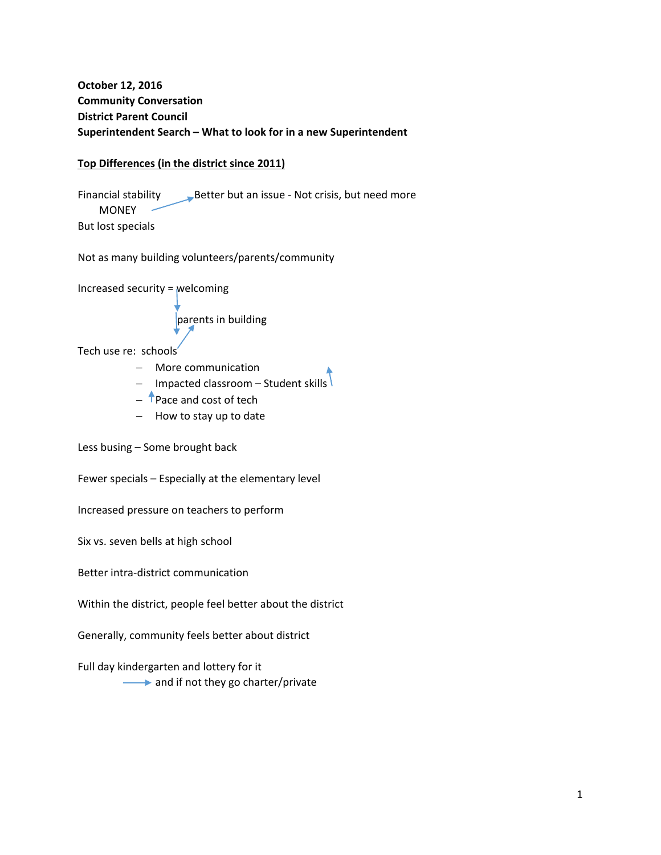# **October 12, 2016 Community Conversation District Parent Council Superintendent Search – What to look for in a new Superintendent**

## **Top Differences (in the district since 2011)**

Financial stability Better but an issue - Not crisis, but need more MONEY But lost specials

Not as many building volunteers/parents/community

Increased security = welcoming

parents in building

Tech use re: schools

- More communication
- $-$  Impacted classroom Student skills
- $-$  **T** Pace and cost of tech
- $-$  How to stay up to date

Less busing – Some brought back

Fewer specials – Especially at the elementary level

Increased pressure on teachers to perform

Six vs. seven bells at high school

Better intra‐district communication

Within the district, people feel better about the district

Generally, community feels better about district

Full day kindergarten and lottery for it  $\longrightarrow$  and if not they go charter/private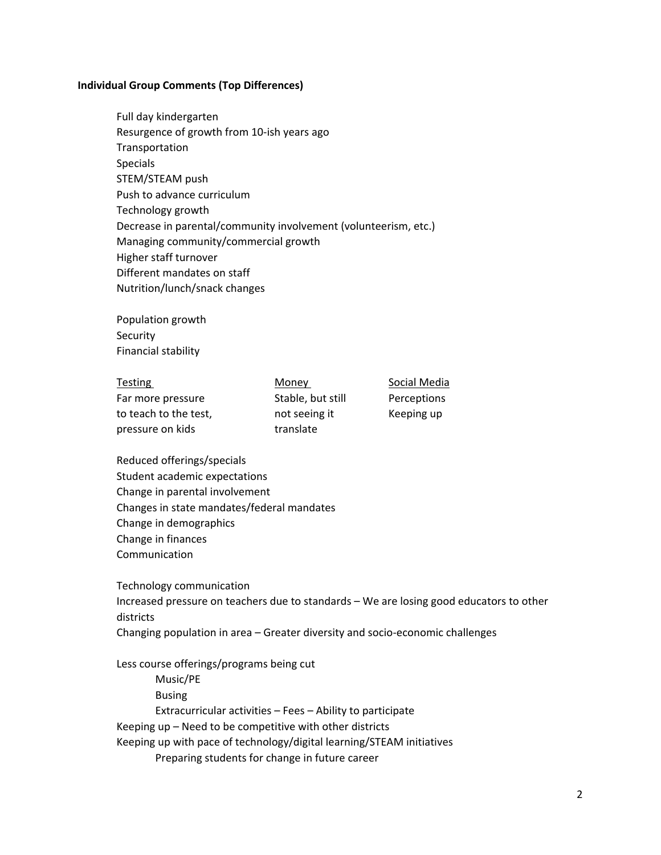#### **Individual Group Comments (Top Differences)**

Full day kindergarten Resurgence of growth from 10‐ish years ago Transportation Specials STEM/STEAM push Push to advance curriculum Technology growth Decrease in parental/community involvement (volunteerism, etc.) Managing community/commercial growth Higher staff turnover Different mandates on staff Nutrition/lunch/snack changes

Population growth Security Financial stability

| <b>Testing</b>        | Money             | Social Media |
|-----------------------|-------------------|--------------|
| Far more pressure     | Stable, but still | Perceptions  |
| to teach to the test, | not seeing it     | Keeping up   |
| pressure on kids      | translate         |              |

Reduced offerings/specials Student academic expectations Change in parental involvement Changes in state mandates/federal mandates Change in demographics Change in finances Communication

Technology communication Increased pressure on teachers due to standards – We are losing good educators to other districts Changing population in area – Greater diversity and socio‐economic challenges

Less course offerings/programs being cut Music/PE Busing Extracurricular activities – Fees – Ability to participate Keeping up – Need to be competitive with other districts Keeping up with pace of technology/digital learning/STEAM initiatives Preparing students for change in future career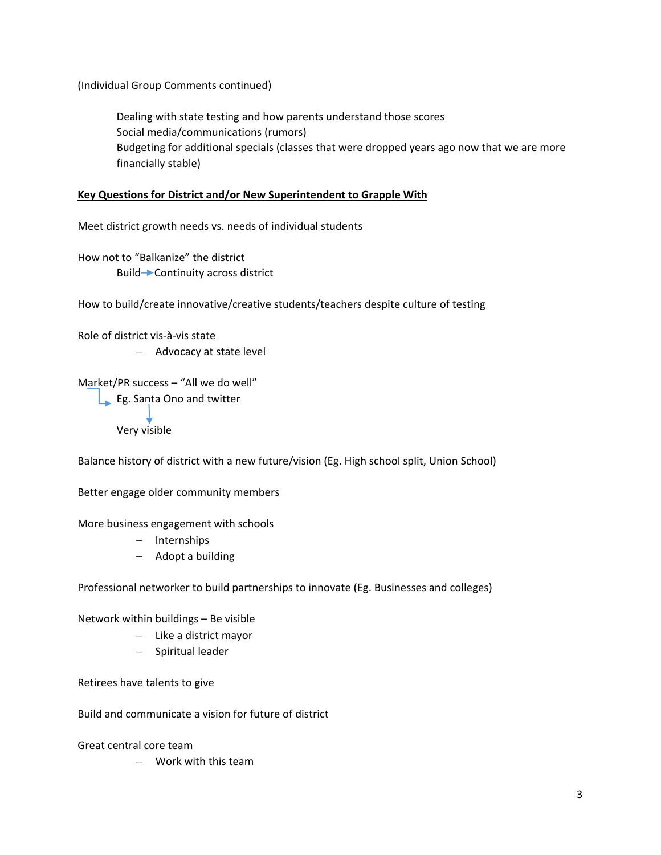(Individual Group Comments continued)

Dealing with state testing and how parents understand those scores Social media/communications (rumors) Budgeting for additional specials (classes that were dropped years ago now that we are more financially stable)

#### **Key Questions for District and/or New Superintendent to Grapple With**

Meet district growth needs vs. needs of individual students

How not to "Balkanize" the district Build 
ightarrow Continuity across district

How to build/create innovative/creative students/teachers despite culture of testing

Role of district vis‐à‐vis state

- Advocacy at state level

```
Market/PR success – "All we do well"
```
Eg. Santa Ono and twitter

Very visible

Balance history of district with a new future/vision (Eg. High school split, Union School)

Better engage older community members

More business engagement with schools

- Internships
- Adopt a building

Professional networker to build partnerships to innovate (Eg. Businesses and colleges)

Network within buildings – Be visible

- Like a district mayor
- Spiritual leader

Retirees have talents to give

Build and communicate a vision for future of district

Great central core team

Work with this team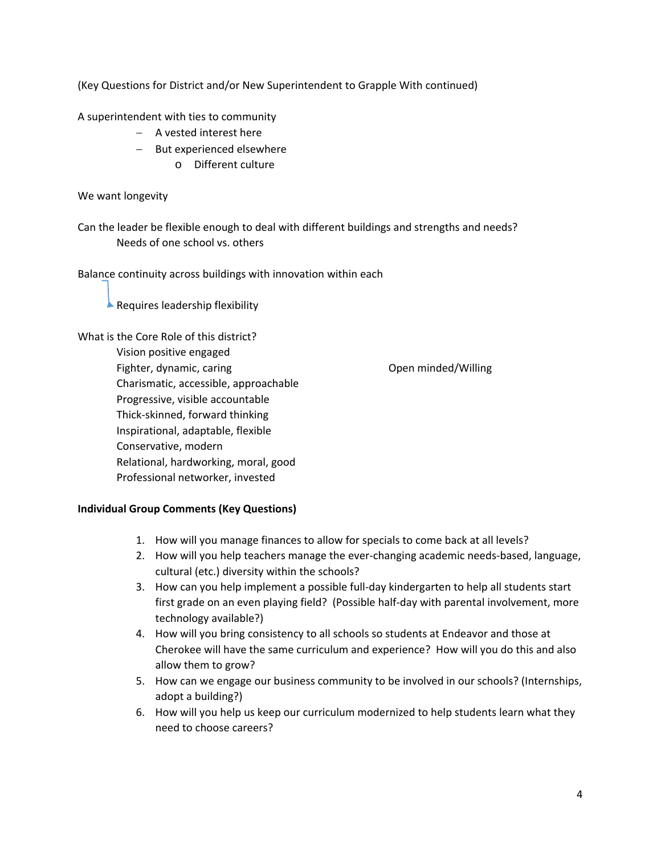(Key Questions for District and/or New Superintendent to Grapple With continued)

A superintendent with ties to community

- $-$  A vested interest here
- But experienced elsewhere
	- o Different culture

We want longevity

Can the leader be flexible enough to deal with different buildings and strengths and needs? Needs of one school vs. others

Balance continuity across buildings with innovation within each

 $\blacktriangle$  Requires leadership flexibility

What is the Core Role of this district? Vision positive engaged Fighter, dynamic, caring and the control of the Communication of the Communication of the Communication of the Communication of the Communication of the Communication of the Communication of the Communication of the Commun Charismatic, accessible, approachable Progressive, visible accountable Thick‐skinned, forward thinking Inspirational, adaptable, flexible Conservative, modern Relational, hardworking, moral, good Professional networker, invested

### **Individual Group Comments (Key Questions)**

- 1. How will you manage finances to allow for specials to come back at all levels?
- 2. How will you help teachers manage the ever-changing academic needs-based, language, cultural (etc.) diversity within the schools?
- 3. How can you help implement a possible full‐day kindergarten to help all students start first grade on an even playing field? (Possible half‐day with parental involvement, more technology available?)
- 4. How will you bring consistency to all schools so students at Endeavor and those at Cherokee will have the same curriculum and experience? How will you do this and also allow them to grow?
- 5. How can we engage our business community to be involved in our schools? (Internships, adopt a building?)
- 6. How will you help us keep our curriculum modernized to help students learn what they need to choose careers?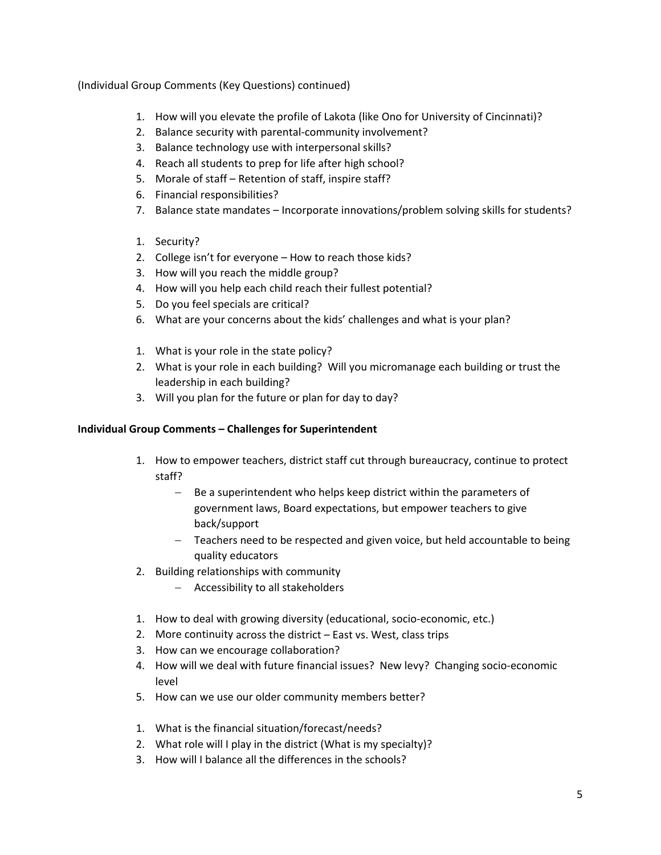(Individual Group Comments (Key Questions) continued)

- 1. How will you elevate the profile of Lakota (like Ono for University of Cincinnati)?
- 2. Balance security with parental-community involvement?
- 3. Balance technology use with interpersonal skills?
- 4. Reach all students to prep for life after high school?
- 5. Morale of staff Retention of staff, inspire staff?
- 6. Financial responsibilities?
- 7. Balance state mandates Incorporate innovations/problem solving skills for students?
- 1. Security?
- 2. College isn't for everyone How to reach those kids?
- 3. How will you reach the middle group?
- 4. How will you help each child reach their fullest potential?
- 5. Do you feel specials are critical?
- 6. What are your concerns about the kids' challenges and what is your plan?
- 1. What is your role in the state policy?
- 2. What is your role in each building? Will you micromanage each building or trust the leadership in each building?
- 3. Will you plan for the future or plan for day to day?

## **Individual Group Comments – Challenges for Superintendent**

- 1. How to empower teachers, district staff cut through bureaucracy, continue to protect staff?
	- $B =$  Be a superintendent who helps keep district within the parameters of government laws, Board expectations, but empower teachers to give back/support
	- Teachers need to be respected and given voice, but held accountable to being quality educators
- 2. Building relationships with community
	- Accessibility to all stakeholders
- 1. How to deal with growing diversity (educational, socio-economic, etc.)
- 2. More continuity across the district East vs. West, class trips
- 3. How can we encourage collaboration?
- 4. How will we deal with future financial issues? New levy? Changing socio‐economic level
- 5. How can we use our older community members better?
- 1. What is the financial situation/forecast/needs?
- 2. What role will I play in the district (What is my specialty)?
- 3. How will I balance all the differences in the schools?